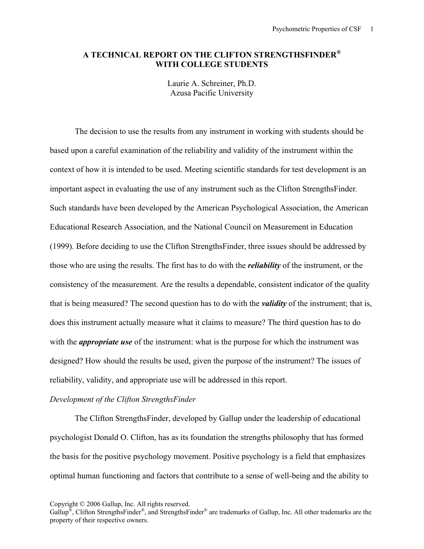## **A TECHNICAL REPORT ON THE CLIFTON STRENGTHSFINDER® WITH COLLEGE STUDENTS**

Laurie A. Schreiner, Ph.D. Azusa Pacific University

The decision to use the results from any instrument in working with students should be based upon a careful examination of the reliability and validity of the instrument within the context of how it is intended to be used. Meeting scientific standards for test development is an important aspect in evaluating the use of any instrument such as the Clifton StrengthsFinder*.*  Such standards have been developed by the American Psychological Association, the American Educational Research Association, and the National Council on Measurement in Education (1999). Before deciding to use the Clifton StrengthsFinder, three issues should be addressed by those who are using the results. The first has to do with the *reliability* of the instrument, or the consistency of the measurement. Are the results a dependable, consistent indicator of the quality that is being measured? The second question has to do with the *validity* of the instrument; that is, does this instrument actually measure what it claims to measure? The third question has to do with the *appropriate use* of the instrument: what is the purpose for which the instrument was designed? How should the results be used, given the purpose of the instrument? The issues of reliability, validity, and appropriate use will be addressed in this report.

#### *Development of the Clifton StrengthsFinder*

The Clifton StrengthsFinder, developed by Gallup under the leadership of educational psychologist Donald O. Clifton, has as its foundation the strengths philosophy that has formed the basis for the positive psychology movement. Positive psychology is a field that emphasizes optimal human functioning and factors that contribute to a sense of well-being and the ability to

Gallup<sup>®</sup>, Clifton StrengthsFinder<sup>®</sup>, and StrengthsFinder<sup>®</sup> are trademarks of Gallup, Inc. All other trademarks are the property of their respective owners.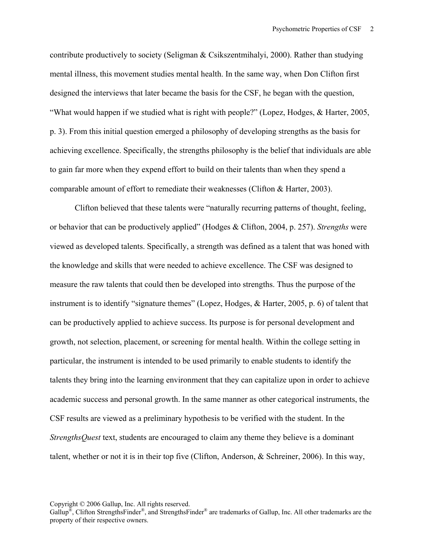contribute productively to society (Seligman & Csikszentmihalyi, 2000). Rather than studying mental illness, this movement studies mental health. In the same way, when Don Clifton first designed the interviews that later became the basis for the CSF, he began with the question, "What would happen if we studied what is right with people?" (Lopez, Hodges, & Harter, 2005, p. 3). From this initial question emerged a philosophy of developing strengths as the basis for achieving excellence. Specifically, the strengths philosophy is the belief that individuals are able to gain far more when they expend effort to build on their talents than when they spend a comparable amount of effort to remediate their weaknesses (Clifton & Harter, 2003).

Clifton believed that these talents were "naturally recurring patterns of thought, feeling, or behavior that can be productively applied" (Hodges & Clifton, 2004, p. 257). *Strengths* were viewed as developed talents. Specifically, a strength was defined as a talent that was honed with the knowledge and skills that were needed to achieve excellence. The CSF was designed to measure the raw talents that could then be developed into strengths. Thus the purpose of the instrument is to identify "signature themes" (Lopez, Hodges, & Harter, 2005, p. 6) of talent that can be productively applied to achieve success. Its purpose is for personal development and growth, not selection, placement, or screening for mental health. Within the college setting in particular, the instrument is intended to be used primarily to enable students to identify the talents they bring into the learning environment that they can capitalize upon in order to achieve academic success and personal growth. In the same manner as other categorical instruments, the CSF results are viewed as a preliminary hypothesis to be verified with the student. In the *StrengthsQuest* text, students are encouraged to claim any theme they believe is a dominant talent, whether or not it is in their top five (Clifton, Anderson, & Schreiner, 2006). In this way,

Copyright © 2006 Gallup, Inc. All rights reserved.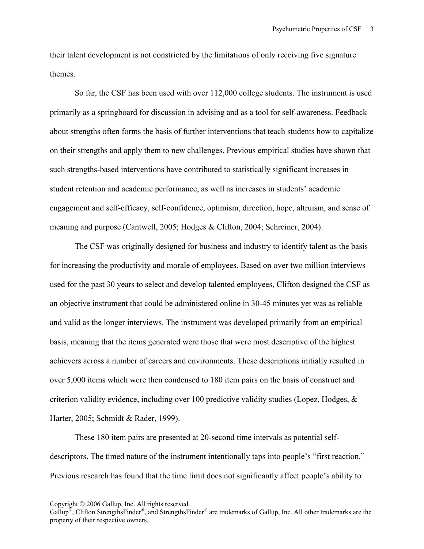their talent development is not constricted by the limitations of only receiving five signature themes.

So far, the CSF has been used with over 112,000 college students. The instrument is used primarily as a springboard for discussion in advising and as a tool for self-awareness. Feedback about strengths often forms the basis of further interventions that teach students how to capitalize on their strengths and apply them to new challenges. Previous empirical studies have shown that such strengths-based interventions have contributed to statistically significant increases in student retention and academic performance, as well as increases in students' academic engagement and self-efficacy, self-confidence, optimism, direction, hope, altruism, and sense of meaning and purpose (Cantwell, 2005; Hodges & Clifton, 2004; Schreiner, 2004).

 The CSF was originally designed for business and industry to identify talent as the basis for increasing the productivity and morale of employees. Based on over two million interviews used for the past 30 years to select and develop talented employees, Clifton designed the CSF as an objective instrument that could be administered online in 30-45 minutes yet was as reliable and valid as the longer interviews. The instrument was developed primarily from an empirical basis, meaning that the items generated were those that were most descriptive of the highest achievers across a number of careers and environments. These descriptions initially resulted in over 5,000 items which were then condensed to 180 item pairs on the basis of construct and criterion validity evidence, including over 100 predictive validity studies (Lopez, Hodges, & Harter, 2005; Schmidt & Rader, 1999).

These 180 item pairs are presented at 20-second time intervals as potential selfdescriptors. The timed nature of the instrument intentionally taps into people's "first reaction." Previous research has found that the time limit does not significantly affect people's ability to

Gallup<sup>®</sup>, Clifton StrengthsFinder<sup>®</sup>, and StrengthsFinder<sup>®</sup> are trademarks of Gallup, Inc. All other trademarks are the property of their respective owners.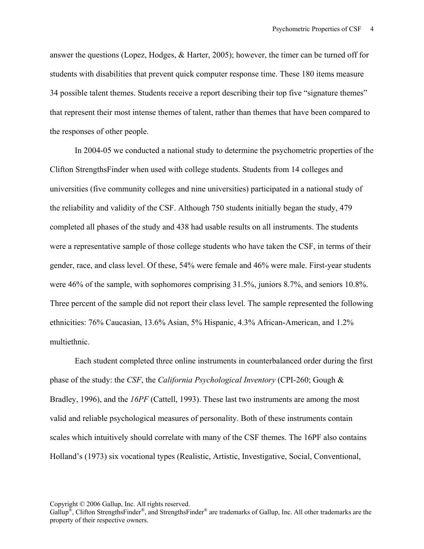answer the questions (Lopez, Hodges, & Harter, 2005); however, the timer can be turned off for students with disabilities that prevent quick computer response time. These 180 items measure 34 possible talent themes. Students receive a report describing their top five "signature themes" that represent their most intense themes of talent, rather than themes that have been compared to the responses of other people.

In 2004-05 we conducted a national study to determine the psychometric properties of the Clifton StrengthsFinder when used with college students. Students from 14 colleges and universities (five community colleges and nine universities) participated in a national study of the reliability and validity of the CSF. Although 750 students initially began the study, 479 completed all phases of the study and 438 had usable results on all instruments. The students were a representative sample of those college students who have taken the CSF, in terms of their gender, race, and class level. Of these, 54% were female and 46% were male. First-year students were 46% of the sample, with sophomores comprising 31.5%, juniors 8.7%, and seniors 10.8%. Three percent of the sample did not report their class level. The sample represented the following ethnicities: 76% Caucasian, 13.6% Asian, 5% Hispanic, 4.3% African-American, and 1.2% multiethnic.

Each student completed three online instruments in counterbalanced order during the first phase of the study: the *CSF*, the *California Psychological Inventory* (CPI-260; Gough & Bradley, 1996), and the *16PF* (Cattell, 1993). These last two instruments are among the most valid and reliable psychological measures of personality. Both of these instruments contain scales which intuitively should correlate with many of the CSF themes. The 16PF also contains Holland's (1973) six vocational types (Realistic, Artistic, Investigative, Social, Conventional,

Gallup<sup>®</sup>, Clifton StrengthsFinder<sup>®</sup>, and StrengthsFinder<sup>®</sup> are trademarks of Gallup, Inc. All other trademarks are the property of their respective owners.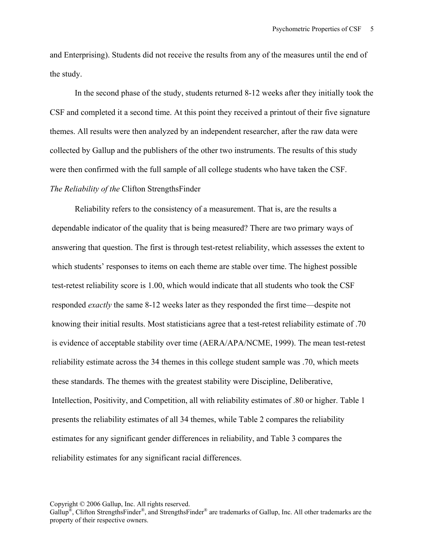and Enterprising). Students did not receive the results from any of the measures until the end of the study.

In the second phase of the study, students returned 8-12 weeks after they initially took the CSF and completed it a second time. At this point they received a printout of their five signature themes. All results were then analyzed by an independent researcher, after the raw data were collected by Gallup and the publishers of the other two instruments. The results of this study were then confirmed with the full sample of all college students who have taken the CSF. *The Reliability of the* Clifton StrengthsFinder

Reliability refers to the consistency of a measurement. That is, are the results a dependable indicator of the quality that is being measured? There are two primary ways of answering that question. The first is through test-retest reliability, which assesses the extent to which students' responses to items on each theme are stable over time. The highest possible test-retest reliability score is 1.00, which would indicate that all students who took the CSF responded *exactly* the same 8-12 weeks later as they responded the first time—despite not knowing their initial results. Most statisticians agree that a test-retest reliability estimate of .70 is evidence of acceptable stability over time (AERA/APA/NCME, 1999). The mean test-retest reliability estimate across the 34 themes in this college student sample was .70, which meets these standards. The themes with the greatest stability were Discipline, Deliberative, Intellection, Positivity, and Competition, all with reliability estimates of .80 or higher. Table 1 presents the reliability estimates of all 34 themes, while Table 2 compares the reliability estimates for any significant gender differences in reliability, and Table 3 compares the reliability estimates for any significant racial differences.

Gallup<sup>®</sup>, Clifton StrengthsFinder<sup>®</sup>, and StrengthsFinder<sup>®</sup> are trademarks of Gallup, Inc. All other trademarks are the property of their respective owners.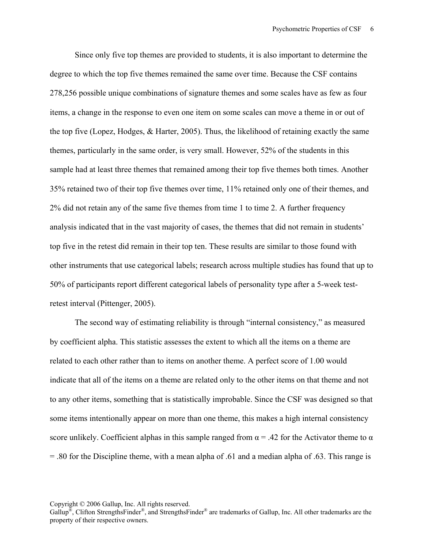Since only five top themes are provided to students, it is also important to determine the degree to which the top five themes remained the same over time. Because the CSF contains 278,256 possible unique combinations of signature themes and some scales have as few as four items, a change in the response to even one item on some scales can move a theme in or out of the top five (Lopez, Hodges, & Harter, 2005). Thus, the likelihood of retaining exactly the same themes, particularly in the same order, is very small. However, 52% of the students in this sample had at least three themes that remained among their top five themes both times. Another 35% retained two of their top five themes over time, 11% retained only one of their themes, and 2% did not retain any of the same five themes from time 1 to time 2. A further frequency analysis indicated that in the vast majority of cases, the themes that did not remain in students' top five in the retest did remain in their top ten. These results are similar to those found with other instruments that use categorical labels; research across multiple studies has found that up to 50% of participants report different categorical labels of personality type after a 5-week testretest interval (Pittenger, 2005).

The second way of estimating reliability is through "internal consistency," as measured by coefficient alpha. This statistic assesses the extent to which all the items on a theme are related to each other rather than to items on another theme. A perfect score of 1.00 would indicate that all of the items on a theme are related only to the other items on that theme and not to any other items, something that is statistically improbable. Since the CSF was designed so that some items intentionally appear on more than one theme, this makes a high internal consistency score unlikely. Coefficient alphas in this sample ranged from  $\alpha$  = .42 for the Activator theme to  $\alpha$ = .80 for the Discipline theme, with a mean alpha of .61 and a median alpha of .63. This range is

Gallup<sup>®</sup>, Clifton StrengthsFinder<sup>®</sup>, and StrengthsFinder<sup>®</sup> are trademarks of Gallup, Inc. All other trademarks are the property of their respective owners.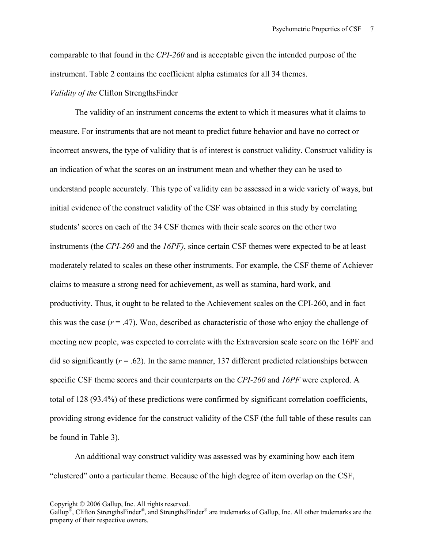comparable to that found in the *CPI-260* and is acceptable given the intended purpose of the instrument. Table 2 contains the coefficient alpha estimates for all 34 themes. *Validity of the* Clifton StrengthsFinder

The validity of an instrument concerns the extent to which it measures what it claims to measure. For instruments that are not meant to predict future behavior and have no correct or incorrect answers, the type of validity that is of interest is construct validity. Construct validity is an indication of what the scores on an instrument mean and whether they can be used to understand people accurately. This type of validity can be assessed in a wide variety of ways, but initial evidence of the construct validity of the CSF was obtained in this study by correlating students' scores on each of the 34 CSF themes with their scale scores on the other two instruments (the *CPI-260* and the *16PF)*, since certain CSF themes were expected to be at least moderately related to scales on these other instruments. For example, the CSF theme of Achiever claims to measure a strong need for achievement, as well as stamina, hard work, and productivity. Thus, it ought to be related to the Achievement scales on the CPI-260, and in fact this was the case  $(r = .47)$ . Woo, described as characteristic of those who enjoy the challenge of meeting new people, was expected to correlate with the Extraversion scale score on the 16PF and did so significantly  $(r = .62)$ . In the same manner, 137 different predicted relationships between specific CSF theme scores and their counterparts on the *CPI-260* and *16PF* were explored. A total of 128 (93.4%) of these predictions were confirmed by significant correlation coefficients, providing strong evidence for the construct validity of the CSF (the full table of these results can be found in Table 3).

An additional way construct validity was assessed was by examining how each item "clustered" onto a particular theme. Because of the high degree of item overlap on the CSF,

Gallup<sup>®</sup>, Clifton StrengthsFinder<sup>®</sup>, and StrengthsFinder<sup>®</sup> are trademarks of Gallup, Inc. All other trademarks are the property of their respective owners.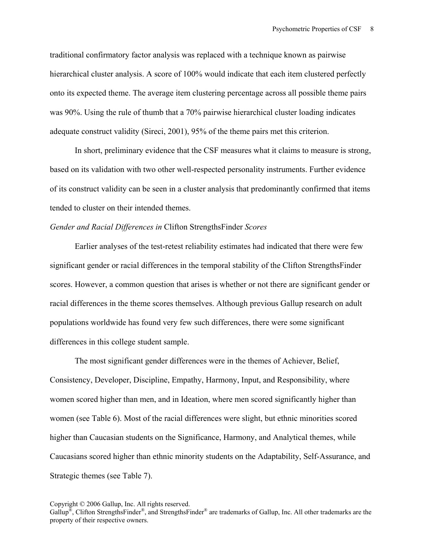traditional confirmatory factor analysis was replaced with a technique known as pairwise hierarchical cluster analysis. A score of 100% would indicate that each item clustered perfectly onto its expected theme. The average item clustering percentage across all possible theme pairs was 90%. Using the rule of thumb that a 70% pairwise hierarchical cluster loading indicates adequate construct validity (Sireci, 2001), 95% of the theme pairs met this criterion.

In short, preliminary evidence that the CSF measures what it claims to measure is strong, based on its validation with two other well-respected personality instruments. Further evidence of its construct validity can be seen in a cluster analysis that predominantly confirmed that items tended to cluster on their intended themes.

### *Gender and Racial Differences in* Clifton StrengthsFinder *Scores*

 Earlier analyses of the test-retest reliability estimates had indicated that there were few significant gender or racial differences in the temporal stability of the Clifton StrengthsFinder scores. However, a common question that arises is whether or not there are significant gender or racial differences in the theme scores themselves. Although previous Gallup research on adult populations worldwide has found very few such differences, there were some significant differences in this college student sample.

 The most significant gender differences were in the themes of Achiever, Belief, Consistency, Developer, Discipline, Empathy, Harmony, Input, and Responsibility, where women scored higher than men, and in Ideation, where men scored significantly higher than women (see Table 6). Most of the racial differences were slight, but ethnic minorities scored higher than Caucasian students on the Significance, Harmony, and Analytical themes, while Caucasians scored higher than ethnic minority students on the Adaptability, Self-Assurance, and Strategic themes (see Table 7).

Gallup<sup>®</sup>, Clifton StrengthsFinder<sup>®</sup>, and StrengthsFinder<sup>®</sup> are trademarks of Gallup, Inc. All other trademarks are the property of their respective owners.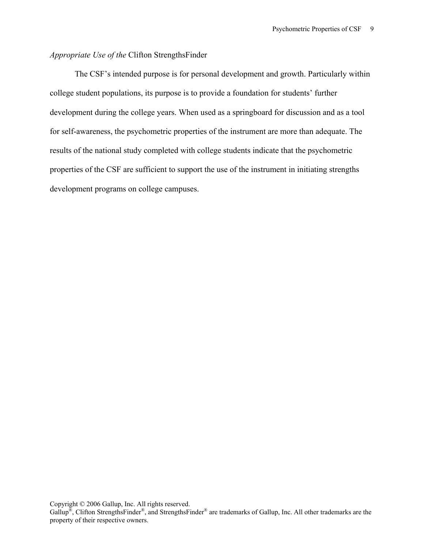# *Appropriate Use of the* Clifton StrengthsFinder

The CSF's intended purpose is for personal development and growth. Particularly within college student populations, its purpose is to provide a foundation for students' further development during the college years. When used as a springboard for discussion and as a tool for self-awareness, the psychometric properties of the instrument are more than adequate. The results of the national study completed with college students indicate that the psychometric properties of the CSF are sufficient to support the use of the instrument in initiating strengths development programs on college campuses.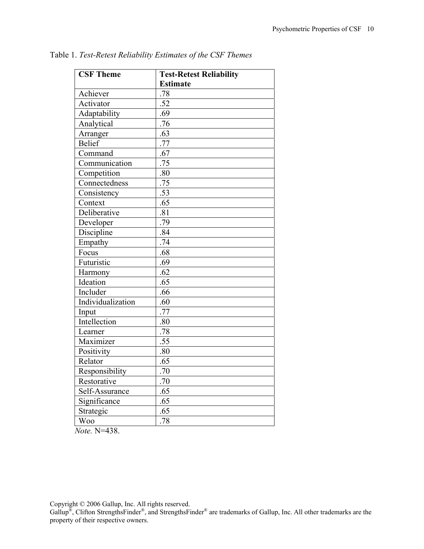| <b>CSF Theme</b>  | <b>Test-Retest Reliability</b> |
|-------------------|--------------------------------|
|                   | <b>Estimate</b>                |
| Achiever          | .78                            |
| Activator         | $\overline{.52}$               |
| Adaptability      | .69                            |
| Analytical        | .76                            |
| Arranger          | .63                            |
| <b>Belief</b>     | .77                            |
| Command           | .67                            |
| Communication     | $\overline{.75}$               |
| Competition       | .80                            |
| Connectedness     | .75                            |
| Consistency       | .53                            |
| Context           | .65                            |
| Deliberative      | .81                            |
| Developer         | .79                            |
| Discipline        | .84                            |
| Empathy           | .74                            |
| Focus             | .68                            |
| Futuristic        | .69                            |
| Harmony           | .62                            |
| Ideation          | .65                            |
| Includer          | .66                            |
| Individualization | .60                            |
| Input             | .77                            |
| Intellection      | .80                            |
| Learner           | .78                            |
| Maximizer         | .55                            |
| Positivity        | .80                            |
| Relator           | .65                            |
| Responsibility    | .70                            |
| Restorative       | .70                            |
| Self-Assurance    | .65                            |
| Significance      | .65                            |
| Strategic         | .65                            |
| <b>Woo</b>        | .78                            |

Table 1. *Test-Retest Reliability Estimates of the CSF Themes* 

*Note.* N=438.

Copyright © 2006 Gallup, Inc. All rights reserved.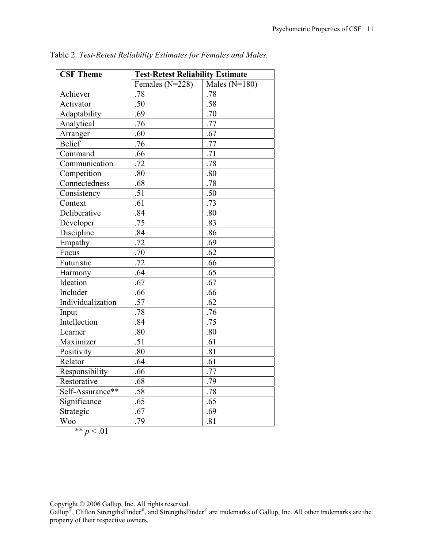| <b>CSF Theme</b>  | <b>Test-Retest Reliability Estimate</b> |                 |  |
|-------------------|-----------------------------------------|-----------------|--|
|                   | Females $(N=228)$                       | Males $(N=180)$ |  |
| Achiever          | .78                                     | .78             |  |
| Activator         | .50                                     | .58             |  |
| Adaptability      | .69                                     | .70             |  |
| Analytical        | .76                                     | .77             |  |
| Arranger          | .60                                     | .67             |  |
| <b>Belief</b>     | .76                                     | .77             |  |
| Command           | .66                                     | .71             |  |
| Communication     | .72                                     | .78             |  |
| Competition       | .80                                     | .80             |  |
| Connectedness     | .68                                     | .78             |  |
| Consistency       | .51                                     | .50             |  |
| Context           | .61                                     | .73             |  |
| Deliberative      | .84                                     | .80             |  |
| Developer         | .75                                     | .83             |  |
| Discipline        | .84                                     | .86             |  |
| Empathy           | .72                                     | .69             |  |
| Focus             | .70                                     | .62             |  |
| Futuristic        | .72                                     | .66             |  |
| Harmony           | .64                                     | .65             |  |
| Ideation          | .67                                     | .67             |  |
| Includer          | .66                                     | .66             |  |
| Individualization | $\overline{.57}$                        | .62             |  |
| Input             | .78                                     | .76             |  |
| Intellection      | .84                                     | .75             |  |
| Learner           | .80                                     | .80             |  |
| Maximizer         | .51                                     | .61             |  |
| Positivity        | .80                                     | .81             |  |
| Relator           | .64                                     | .61             |  |
| Responsibility    | .66                                     | .77             |  |
| Restorative       | .68                                     | .79             |  |
| Self-Assurance**  | .58                                     | .78             |  |
| Significance      | .65                                     | .65             |  |
| Strategic         | .67                                     | .69             |  |
| <b>Woo</b>        | .79                                     | .81             |  |

Table 2. *Test-Retest Reliability Estimates for Females and Males.*

$$
** p < .01
$$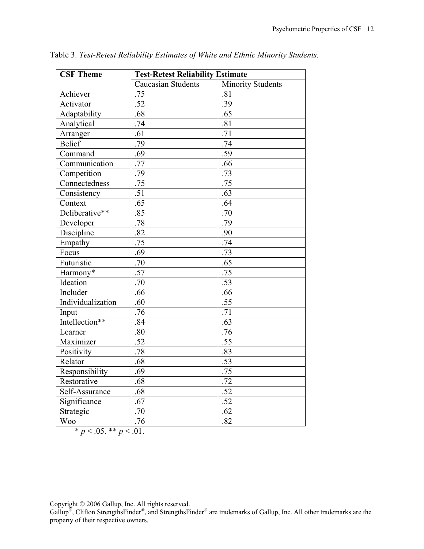| <b>CSF Theme</b>                  | <b>Test-Retest Reliability Estimate</b> |                          |  |
|-----------------------------------|-----------------------------------------|--------------------------|--|
|                                   | <b>Caucasian Students</b>               | <b>Minority Students</b> |  |
| Achiever                          | .75                                     | .81                      |  |
| Activator                         | .52                                     | .39                      |  |
| Adaptability                      | .68                                     | .65                      |  |
| Analytical                        | .74                                     | .81                      |  |
| Arranger                          | .61                                     | .71                      |  |
| <b>Belief</b>                     | .79                                     | .74                      |  |
| Command                           | .69                                     | .59                      |  |
| Communication                     | .77                                     | .66                      |  |
| Competition                       | .79                                     | .73                      |  |
| $\overline{\text{Connectedness}}$ | .75                                     | .75                      |  |
| Consistency                       | .51                                     | .63                      |  |
| Context                           | .65                                     | .64                      |  |
| Deliberative**                    | .85                                     | .70                      |  |
| Developer                         | .78                                     | .79                      |  |
| Discipline                        | .82                                     | .90                      |  |
| Empathy                           | .75                                     | .74                      |  |
| Focus                             | .69                                     | $\overline{.73}$         |  |
| Futuristic                        | .70                                     | .65                      |  |
| Harmony*                          | $\overline{.57}$                        | .75                      |  |
| Ideation                          | $\overline{.70}$                        | $\overline{.53}$         |  |
| Includer                          | .66                                     | .66                      |  |
| Individualization                 | .60                                     | .55                      |  |
| Input                             | .76                                     | .71                      |  |
| Intellection**                    | .84                                     | $\overline{.63}$         |  |
| Learner                           | .80                                     | .76                      |  |
| Maximizer                         | $\overline{.52}$                        | $\overline{.55}$         |  |
| Positivity                        | .78                                     | .83                      |  |
| Relator                           | .68                                     | .53                      |  |
| Responsibility                    | .69                                     | .75                      |  |
| Restorative                       | .68                                     | .72                      |  |
| Self-Assurance                    | .68                                     | .52                      |  |
| Significance                      | .67                                     | .52                      |  |
| Strategic                         | .70                                     | .62                      |  |
| <b>Woo</b>                        | .76                                     | .82                      |  |

Table 3. *Test-Retest Reliability Estimates of White and Ethnic Minority Students.* 

\* 
$$
p < .05
$$
. \*\*  $p < .01$ .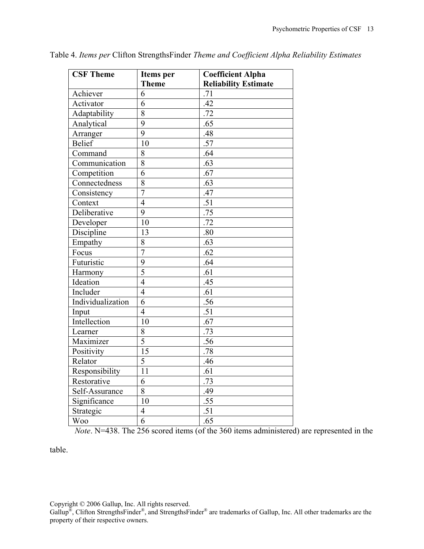| <b>CSF Theme</b>  | Items per       | <b>Coefficient Alpha</b>    |
|-------------------|-----------------|-----------------------------|
|                   | <b>Theme</b>    | <b>Reliability Estimate</b> |
| Achiever          | 6               | .71                         |
| Activator         | 6               | .42                         |
| Adaptability      | 8               | .72                         |
| Analytical        | $\overline{9}$  | .65                         |
| Arranger          | 9               | .48                         |
| <b>Belief</b>     | 10              | .57                         |
| Command           | 8               | .64                         |
| Communication     | 8               | .63                         |
| Competition       | 6               | .67                         |
| Connectedness     | $\overline{8}$  | .63                         |
| Consistency       | $\overline{7}$  | .47                         |
| Context           | $\overline{4}$  | .51                         |
| Deliberative      | 9               | .75                         |
| Developer         | 10              | .72                         |
| Discipline        | 13              | .80                         |
| Empathy           | 8               | .63                         |
| Focus             | $\overline{7}$  | .62                         |
| Futuristic        | 9               | .64                         |
| Harmony           | $\overline{5}$  | .61                         |
| Ideation          | $\overline{4}$  | .45                         |
| Includer          | $\overline{4}$  | .61                         |
| Individualization | $\overline{6}$  | $\overline{.56}$            |
| Input             | $\overline{4}$  | .51                         |
| Intellection      | 10              | .67                         |
| Learner           | 8               | .73                         |
| Maximizer         | $\overline{5}$  | .56                         |
| Positivity        | 15              | .78                         |
| Relator           | $\overline{5}$  | .46                         |
| Responsibility    | $\overline{11}$ | .61                         |
| Restorative       | 6               | .73                         |
| Self-Assurance    | 8               | .49                         |
| Significance      | 10              | .55                         |
| Strategic         | $\overline{4}$  | .51                         |
| <b>Woo</b>        | $\overline{6}$  | .65                         |

Table 4. *Items per* Clifton StrengthsFinder *Theme and Coefficient Alpha Reliability Estimates*

*Note*. N=438. The 256 scored items (of the 360 items administered) are represented in the

table.

Copyright © 2006 Gallup, Inc. All rights reserved.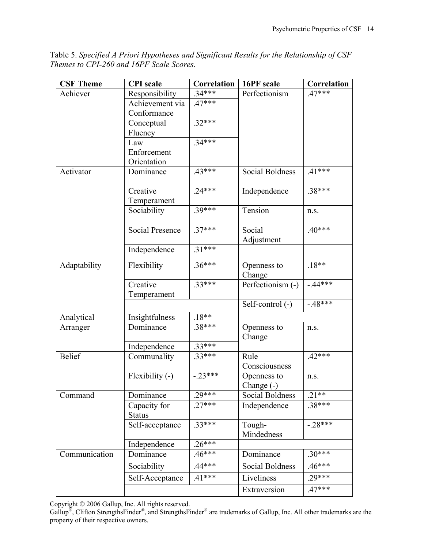Table 5. *Specified A Priori Hypotheses and Significant Results for the Relationship of CSF Themes to CPI-260 and 16PF Scale Scores.* 

| <b>CSF Theme</b> | <b>CPI</b> scale       | Correlation | 16PF scale             | Correlation |
|------------------|------------------------|-------------|------------------------|-------------|
| Achiever         | Responsibility         | $34***$     | Perfectionism          | $.47***$    |
|                  | Achievement via        | $.47***$    |                        |             |
|                  | Conformance            |             |                        |             |
|                  | Conceptual             | $.32***$    |                        |             |
|                  | Fluency                |             |                        |             |
|                  | Law                    | $.34***$    |                        |             |
|                  | Enforcement            |             |                        |             |
|                  | Orientation            |             |                        |             |
| Activator        | Dominance              | $.43***$    | Social Boldness        | $.41***$    |
|                  | Creative               | $.24***$    | Independence           | $.38***$    |
|                  | Temperament            |             |                        |             |
|                  | Sociability            | $.39***$    | Tension                | n.S.        |
|                  | <b>Social Presence</b> | $.37***$    | Social                 | $.40***$    |
|                  |                        |             | Adjustment             |             |
|                  | Independence           | $.31***$    |                        |             |
| Adaptability     | Flexibility            | $.36***$    | Openness to            | $.18**$     |
|                  |                        |             | Change                 |             |
|                  | Creative               | $.33***$    | Perfectionism (-)      | $-44***$    |
|                  | Temperament            |             |                        |             |
|                  |                        |             | Self-control (-)       | $-48***$    |
| Analytical       | Insightfulness         | $.18**$     |                        |             |
| Arranger         | Dominance              | .38***      | Openness to            | n.S.        |
|                  |                        |             | Change                 |             |
|                  | Independence           | $.33***$    |                        |             |
| <b>Belief</b>    | Communality            | $33***$     | Rule                   | $.42***$    |
|                  |                        |             | Consciousness          |             |
|                  | Flexibility (-)        | $-23***$    | Openness to            | n.S.        |
|                  |                        |             | Change $(-)$           |             |
| Command          | Dominance              | $29***$     | <b>Social Boldness</b> | $.21**$     |
|                  | Capacity for           | $.27***$    | Independence           | $.38***$    |
|                  | <b>Status</b>          |             |                        |             |
|                  | Self-acceptance        | $.33***$    | Tough-                 | $-.28***$   |
|                  |                        |             | Mindedness             |             |
|                  | Independence           | $.26***$    |                        |             |
| Communication    | Dominance              | $.46***$    | Dominance              | $.30***$    |
|                  | Sociability            | $44***$     | Social Boldness        | 46***       |
|                  | Self-Acceptance        | $.41***$    | Liveliness             | $.29***$    |
|                  |                        |             | Extraversion           | $.47***$    |

Copyright © 2006 Gallup, Inc. All rights reserved.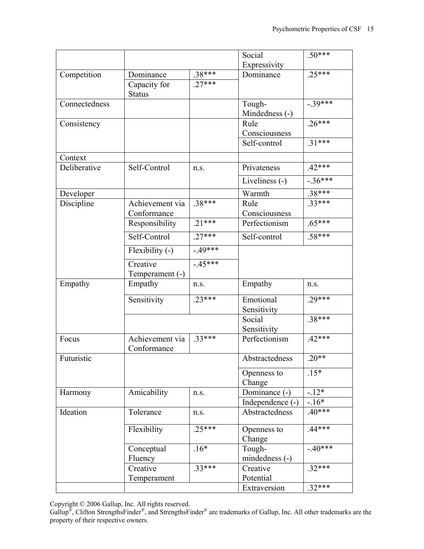|               |                                |          | Social                   | $.50***$  |
|---------------|--------------------------------|----------|--------------------------|-----------|
|               |                                |          | Expressivity             |           |
| Competition   | Dominance                      | $.38***$ | Dominance                | $.25***$  |
|               | Capacity for<br><b>Status</b>  | $.27***$ |                          |           |
| Connectedness |                                |          | Tough-                   | $-39***$  |
|               |                                |          | Mindedness (-)           |           |
| Consistency   |                                |          | Rule                     | $.26***$  |
|               |                                |          | Consciousness            |           |
|               |                                |          | Self-control             | $.31***$  |
| Context       |                                |          |                          |           |
| Deliberative  | Self-Control                   | n.s.     | Privateness              | $.42***$  |
|               |                                |          | Liveliness (-)           | $-.36***$ |
| Developer     |                                |          | Warmth                   | $.38***$  |
| Discipline    | Achievement via                | $.38***$ | Rule                     | $.33***$  |
|               | Conformance                    |          | Consciousness            |           |
|               | Responsibility                 | $.21***$ | Perfectionism            | $.65***$  |
|               | Self-Control                   | $.27***$ | Self-control             | $.58***$  |
|               | Flexibility (-)                | $-49***$ |                          |           |
|               | Creative                       | $-45***$ |                          |           |
|               | Temperament (-)                |          |                          |           |
| Empathy       | Empathy                        | n.s.     | Empathy                  | n.s.      |
|               | Sensitivity                    | $23***$  | Emotional<br>Sensitivity | $.29***$  |
|               |                                |          | Social<br>Sensitivity    | $.38***$  |
| Focus         | Achievement via<br>Conformance | $.33***$ | Perfectionism            | $.42***$  |
| Futuristic    |                                |          | Abstractedness           | $.20**$   |
|               |                                |          | Openness to<br>Change    | $.15*$    |
| Harmony       | Amicability                    | n.s.     | Dominance (-)            | $-12*$    |
|               |                                |          | Independence (-)         | $-16*$    |
| Ideation      | Tolerance                      | n.s.     | Abstractedness           | $.40***$  |
|               | Flexibility                    | $.25***$ | Openness to<br>Change    | $.44***$  |
|               | Conceptual<br>Fluency          | $.16*$   | Tough-<br>mindedness (-) | $-40***$  |
|               | Creative<br>Temperament        | $.33***$ | Creative<br>Potential    | $.32***$  |
|               |                                |          | Extraversion             | $.32***$  |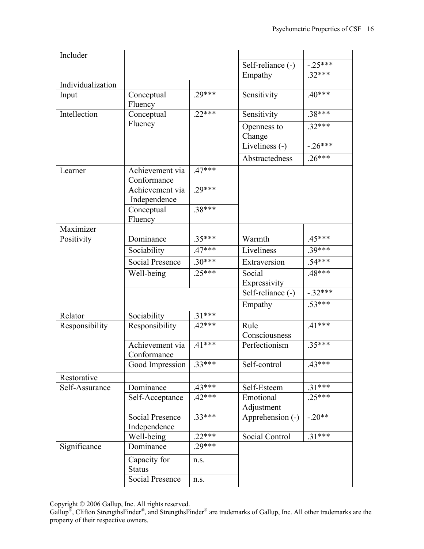| Includer          |                                        |          |                                |           |
|-------------------|----------------------------------------|----------|--------------------------------|-----------|
|                   |                                        |          | Self-reliance $\overline{(-)}$ | $-.25***$ |
|                   |                                        |          | Empathy                        | $.32***$  |
| Individualization |                                        |          |                                |           |
| Input             | Conceptual<br>Fluency                  | 29***    | Sensitivity                    | $.40***$  |
| Intellection      | Conceptual                             | $22***$  | Sensitivity                    | $.38***$  |
|                   | Fluency                                |          | Openness to<br>Change          | $.32***$  |
|                   |                                        |          | Liveliness (-)                 | $-26***$  |
|                   |                                        |          | Abstractedness                 | $.26***$  |
| Learner           | Achievement via<br>Conformance         | $.47***$ |                                |           |
|                   | Achievement via<br>Independence        | $.29***$ |                                |           |
|                   | Conceptual<br>Fluency                  | $.38***$ |                                |           |
| Maximizer         |                                        |          |                                |           |
| Positivity        | Dominance                              | $.35***$ | Warmth                         | $.45***$  |
|                   | Sociability                            | $.47***$ | Liveliness                     | $.39***$  |
|                   | <b>Social Presence</b>                 | $.30***$ | Extraversion                   | $.54***$  |
|                   | Well-being                             | $.25***$ | Social<br>Expressivity         | $.48***$  |
|                   |                                        |          | Self-reliance (-)              | $-.32***$ |
|                   |                                        |          | Empathy                        | $.53***$  |
| Relator           | Sociability                            | $.31***$ |                                |           |
| Responsibility    | Responsibility                         | 42***    | Rule<br>Consciousness          | $.41***$  |
|                   | Achievement via<br>Conformance         | $.41***$ | Perfectionism                  | $.35***$  |
|                   | Good Impression                        | $.33***$ | Self-control                   | $.43***$  |
| Restorative       |                                        |          |                                |           |
| Self-Assurance    | Dominance                              | $.43***$ | Self-Esteem                    | $.31***$  |
|                   | Self-Acceptance                        | $.42***$ | Emotional                      | $.25***$  |
|                   |                                        |          | Adjustment                     |           |
|                   | <b>Social Presence</b><br>Independence | .33***   | Apprehension (-)               | $-.20**$  |
|                   | Well-being                             | $22***$  | Social Control                 | $.31***$  |
| Significance      | Dominance                              | .29***   |                                |           |
|                   | Capacity for<br><b>Status</b>          | n.s.     |                                |           |
|                   | Social Presence                        | n.s.     |                                |           |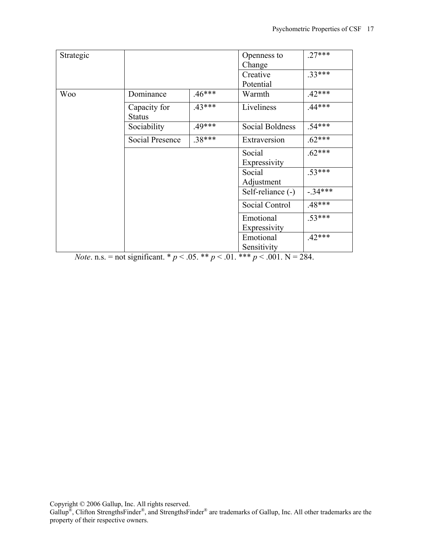| Strategic  |                               |          | Openness to       | $27***$  |
|------------|-------------------------------|----------|-------------------|----------|
|            |                               |          | Change            |          |
|            |                               |          | Creative          | $.33***$ |
|            |                               |          | Potential         |          |
| <b>Woo</b> | Dominance                     | $.46***$ | Warmth            | $.42***$ |
|            | Capacity for<br><b>Status</b> | $.43***$ | Liveliness        | $.44***$ |
|            | Sociability                   | 49***    | Social Boldness   | $.54***$ |
|            | Social Presence               | .38***   | Extraversion      | $.62***$ |
|            |                               |          | Social            | $.62***$ |
|            |                               |          | Expressivity      |          |
|            |                               |          | Social            | $.53***$ |
|            |                               |          | Adjustment        |          |
|            |                               |          | Self-reliance (-) | $-34***$ |
|            |                               |          | Social Control    | $.48***$ |
|            |                               |          | Emotional         | $.53***$ |
|            |                               |          | Expressivity      |          |
|            |                               |          | Emotional         | $.42***$ |
|            |                               |          | Sensitivity       |          |

*Note*. n.s. = not significant. \*  $p < .05$ . \*\*  $p < .01$ . \*\*\*  $p < .001$ . N = 284.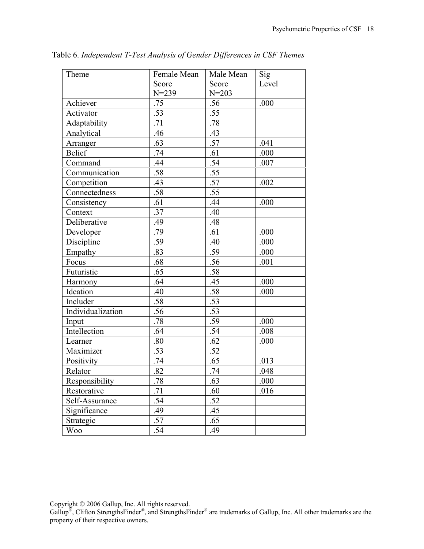| Theme             | Female Mean | Male Mean | Sig   |
|-------------------|-------------|-----------|-------|
|                   | Score       | Score     | Level |
|                   | $N = 239$   | $N = 203$ |       |
| Achiever          | .75         | .56       | .000  |
| Activator         | .53         | .55       |       |
| Adaptability      | .71         | .78       |       |
| Analytical        | .46         | .43       |       |
| Arranger          | .63         | .57       | .041  |
| <b>Belief</b>     | .74         | .61       | .000  |
| Command           | .44         | .54       | .007  |
| Communication     | .58         | .55       |       |
| Competition       | .43         | .57       | .002  |
| Connectedness     | .58         | .55       |       |
| Consistency       | .61         | .44       | .000  |
| Context           | .37         | .40       |       |
| Deliberative      | .49         | .48       |       |
| Developer         | .79         | .61       | .000  |
| Discipline        | .59         | .40       | .000  |
| Empathy           | .83         | .59       | .000  |
| Focus             | .68         | .56       | .001  |
| Futuristic        | .65         | .58       |       |
| Harmony           | .64         | .45       | .000  |
| Ideation          | .40         | .58       | .000  |
| Includer          | .58         | .53       |       |
| Individualization | .56         | .53       |       |
| Input             | .78         | .59       | .000  |
| Intellection      | .64         | .54       | .008  |
| Learner           | .80         | .62       | .000  |
| Maximizer         | .53         | .52       |       |
| Positivity        | .74         | .65       | .013  |
| Relator           | .82         | .74       | .048  |
| Responsibility    | .78         | .63       | .000  |
| Restorative       | .71         | .60       | .016  |
| Self-Assurance    | .54         | .52       |       |
| Significance      | .49         | .45       |       |
| Strategic         | .57         | .65       |       |
| Woo               | .54         | .49       |       |

Table 6. *Independent T-Test Analysis of Gender Differences in CSF Themes*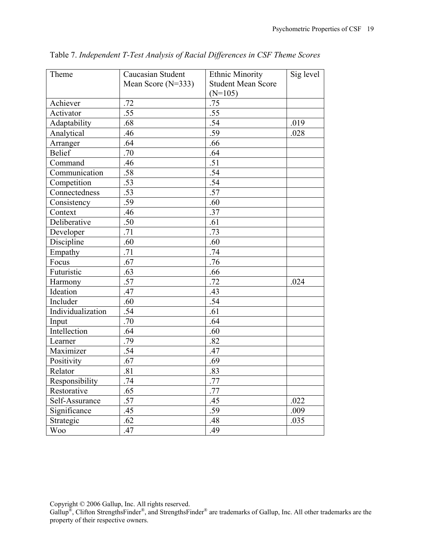| Theme             | Caucasian Student    | <b>Ethnic Minority</b>    | Sig level |
|-------------------|----------------------|---------------------------|-----------|
|                   | Mean Score $(N=333)$ | <b>Student Mean Score</b> |           |
|                   |                      | $(N=105)$                 |           |
| Achiever          | .72                  | .75                       |           |
| Activator         | .55                  | .55                       |           |
| Adaptability      | .68                  | .54                       | .019      |
| Analytical        | .46                  | .59                       | .028      |
| Arranger          | .64                  | .66                       |           |
| <b>Belief</b>     | .70                  | .64                       |           |
| Command           | .46                  | .51                       |           |
| Communication     | .58                  | .54                       |           |
| Competition       | .53                  | .54                       |           |
| Connectedness     | .53                  | .57                       |           |
| Consistency       | .59                  | .60                       |           |
| Context           | .46                  | .37                       |           |
| Deliberative      | .50                  | .61                       |           |
| Developer         | .71                  | .73                       |           |
| Discipline        | .60                  | .60                       |           |
| Empathy           | .71                  | .74                       |           |
| Focus             | .67                  | .76                       |           |
| Futuristic        | .63                  | .66                       |           |
| Harmony           | .57                  | .72                       | .024      |
| Ideation          | .47                  | .43                       |           |
| Includer          | .60                  | .54                       |           |
| Individualization | .54                  | .61                       |           |
| Input             | .70                  | .64                       |           |
| Intellection      | .64                  | .60                       |           |
| Learner           | .79                  | .82                       |           |
| Maximizer         | .54                  | .47                       |           |
| Positivity        | .67                  | .69                       |           |
| Relator           | .81                  | .83                       |           |
| Responsibility    | .74                  | .77                       |           |
| Restorative       | .65                  | .77                       |           |
| Self-Assurance    | .57                  | .45                       | .022      |
| Significance      | .45                  | .59                       | .009      |
| Strategic         | .62                  | .48                       | .035      |
| Woo               | .47                  | .49                       |           |

Table 7. *Independent T-Test Analysis of Racial Differences in CSF Theme Scores*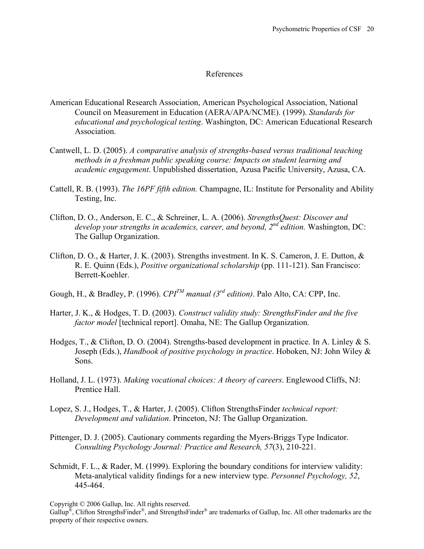## References

- American Educational Research Association, American Psychological Association, National Council on Measurement in Education (AERA/APA/NCME). (1999). *Standards for educational and psychological testing*. Washington, DC: American Educational Research Association.
- Cantwell, L. D. (2005). *A comparative analysis of strengths-based versus traditional teaching methods in a freshman public speaking course: Impacts on student learning and academic engagement*. Unpublished dissertation, Azusa Pacific University, Azusa, CA.
- Cattell, R. B. (1993). *The 16PF fifth edition.* Champagne, IL: Institute for Personality and Ability Testing, Inc.
- Clifton, D. O., Anderson, E. C., & Schreiner, L. A. (2006). *StrengthsQuest: Discover and develop your strengths in academics, career, and beyond, 2nd edition.* Washington, DC: The Gallup Organization.
- Clifton, D. O., & Harter, J. K. (2003). Strengths investment. In K. S. Cameron, J. E. Dutton, & R. E. Quinn (Eds.), *Positive organizational scholarship* (pp. 111-121). San Francisco: Berrett-Koehler.
- Gough, H., & Bradley, P. (1996).  $CPI^{TM}$  manual (3<sup>rd</sup> edition). Palo Alto, CA: CPP, Inc.
- Harter, J. K., & Hodges, T. D. (2003). *Construct validity study: StrengthsFinder and the five factor model* [technical report]. Omaha, NE: The Gallup Organization.
- Hodges, T., & Clifton, D. O. (2004). Strengths-based development in practice. In A. Linley & S. Joseph (Eds.), *Handbook of positive psychology in practice*. Hoboken, NJ: John Wiley & Sons.
- Holland, J. L. (1973). *Making vocational choices: A theory of careers*. Englewood Cliffs, NJ: Prentice Hall.
- Lopez, S. J., Hodges, T., & Harter, J. (2005). Clifton StrengthsFinder *technical report: Development and validation*. Princeton, NJ: The Gallup Organization.
- Pittenger, D. J. (2005). Cautionary comments regarding the Myers-Briggs Type Indicator. *Consulting Psychology Journal: Practice and Research, 57*(3), 210-221.
- Schmidt, F. L., & Rader, M. (1999). Exploring the boundary conditions for interview validity: Meta-analytical validity findings for a new interview type. *Personnel Psychology, 52*, 445-464.

Copyright © 2006 Gallup, Inc. All rights reserved.

Gallup<sup>®</sup>, Clifton StrengthsFinder<sup>®</sup>, and StrengthsFinder<sup>®</sup> are trademarks of Gallup, Inc. All other trademarks are the property of their respective owners.